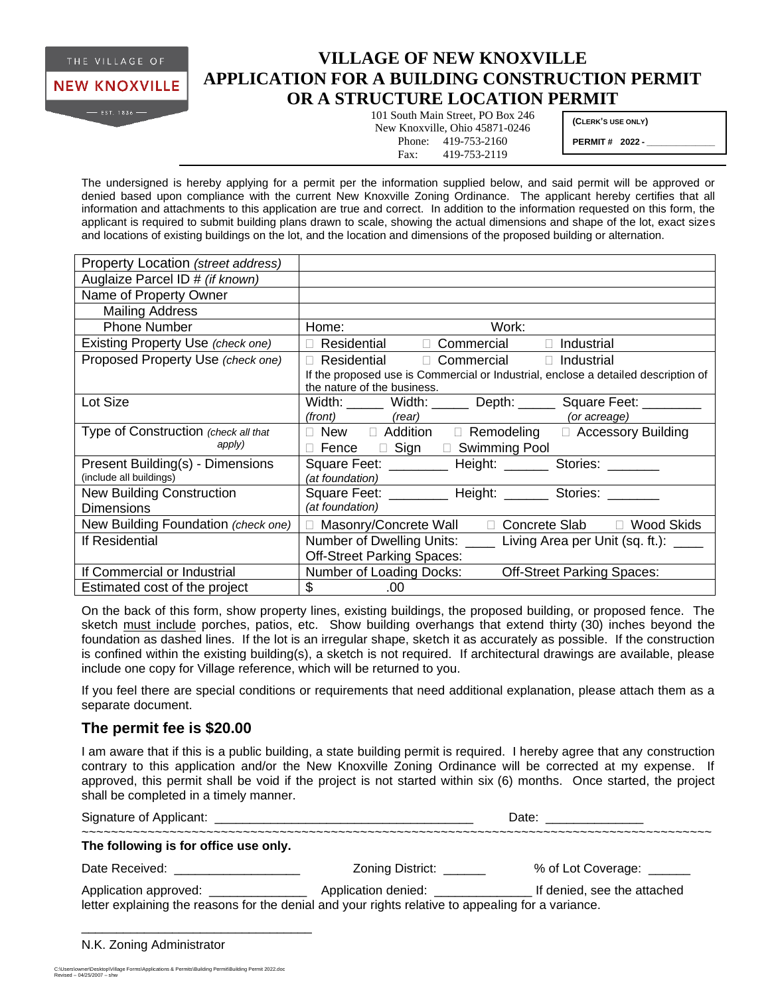

## **VILLAGE OF NEW KNOXVILLE APPLICATION FOR A BUILDING CONSTRUCTION PERMIT OR A STRUCTURE LOCATION PERMIT**

101 South Main Street, PO Box 246 New Knoxville, Ohio 45871-0246 Phone: 419-753-2160 Fax: 419-753-2119

**(CLERK'S USE ONLY)**

**PERMIT # 2022 - \_\_\_\_\_\_\_\_\_\_\_\_\_\_**

The undersigned is hereby applying for a permit per the information supplied below, and said permit will be approved or denied based upon compliance with the current New Knoxville Zoning Ordinance. The applicant hereby certifies that all information and attachments to this application are true and correct. In addition to the information requested on this form, the applicant is required to submit building plans drawn to scale, showing the actual dimensions and shape of the lot, exact sizes and locations of existing buildings on the lot, and the location and dimensions of the proposed building or alternation.

| Property Location (street address)   |                                                                                                                   |
|--------------------------------------|-------------------------------------------------------------------------------------------------------------------|
| Auglaize Parcel ID # (if known)      |                                                                                                                   |
| Name of Property Owner               |                                                                                                                   |
| <b>Mailing Address</b>               |                                                                                                                   |
| <b>Phone Number</b>                  | Work:<br>Home:                                                                                                    |
| Existing Property Use (check one)    | Residential D Commercial<br>$\Box$ Industrial<br>$\Box$                                                           |
| Proposed Property Use (check one)    | $Residential$ $\Box$ Commercial $\Box$ Industrial                                                                 |
|                                      | If the proposed use is Commercial or Industrial, enclose a detailed description of<br>the nature of the business. |
| Lot Size                             | Width: ______ Width: ______ Depth: _____ Square Feet: ________                                                    |
|                                      | $(fromt)$ $(rear)$<br>(or acreage)                                                                                |
| Type of Construction (check all that | $\Box$ New $\Box$ Addition $\Box$ Remodeling $\Box$ Accessory Building                                            |
| apply)                               | Fence <b>D</b> Sign <b>D</b> Swimming Pool                                                                        |
| Present Building(s) - Dimensions     | Square Feet: _________ Height: ______ Stories: _______                                                            |
| (include all buildings)              | (at foundation)                                                                                                   |
| <b>New Building Construction</b>     | Square Feet: _________ Height: _______ Stories: _______                                                           |
| <b>Dimensions</b>                    | (at foundation)                                                                                                   |
| New Building Foundation (check one)  | Masonry/Concrete Wall $\square$ Concrete Slab $\square$ Wood Skids<br>п                                           |
| If Residential                       | Number of Dwelling Units:<br>Living Area per Unit (sq. ft.): _____                                                |
|                                      | <b>Off-Street Parking Spaces:</b>                                                                                 |
| If Commercial or Industrial          | Number of Loading Docks:<br><b>Off-Street Parking Spaces:</b>                                                     |
| Estimated cost of the project        | \$<br>.00                                                                                                         |

On the back of this form, show property lines, existing buildings, the proposed building, or proposed fence. The sketch must include porches, patios, etc. Show building overhangs that extend thirty (30) inches beyond the foundation as dashed lines. If the lot is an irregular shape, sketch it as accurately as possible. If the construction is confined within the existing building(s), a sketch is not required. If architectural drawings are available, please include one copy for Village reference, which will be returned to you.

If you feel there are special conditions or requirements that need additional explanation, please attach them as a separate document.

## **The permit fee is \$20.00**

I am aware that if this is a public building, a state building permit is required. I hereby agree that any construction contrary to this application and/or the New Knoxville Zoning Ordinance will be corrected at my expense. If approved, this permit shall be void if the project is not started within six (6) months. Once started, the project shall be completed in a timely manner.

|                                                                                                                                             |                          | Date: _________    |  |
|---------------------------------------------------------------------------------------------------------------------------------------------|--------------------------|--------------------|--|
| The following is for office use only.                                                                                                       |                          |                    |  |
| Date Received: <u>_______________</u>                                                                                                       | Zoning District: _______ | % of Lot Coverage: |  |
| Application approved: _______________<br>letter explaining the reasons for the denial and your rights relative to appealing for a variance. |                          |                    |  |

|  | N.K. Zoning Administrator |  |
|--|---------------------------|--|
|  |                           |  |